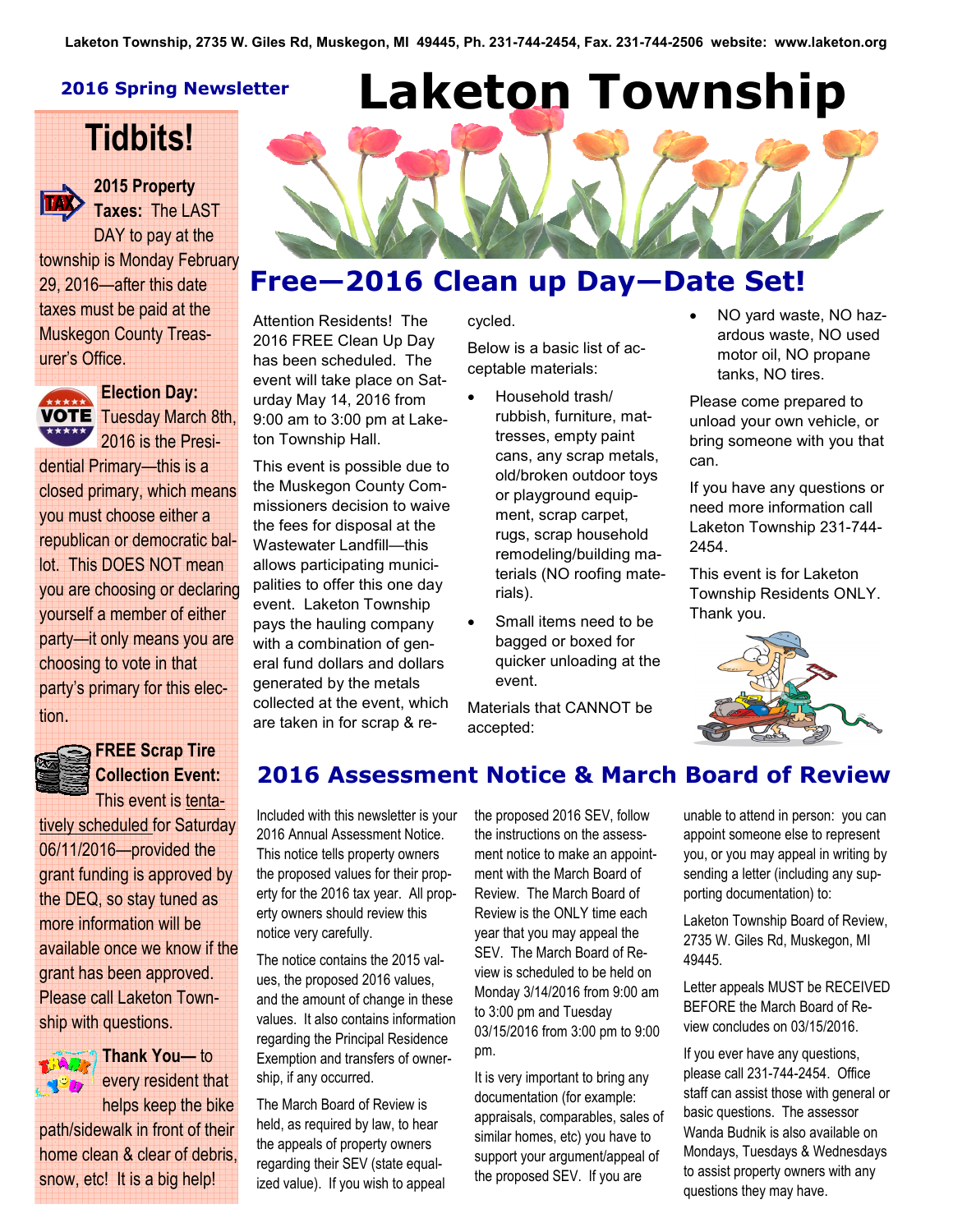#### 2016 Spring Newsletter

# Tidbits!



# 2015 Property

Taxes: The LAST DAY to pay at the township is Monday February 29, 2016—after this date taxes must be paid at the Muskegon County Treasurer's Office.



**Election Day: VOTE** Tuesday March 8th, 2016 is the Presi-

dential Primary—this is a closed primary, which means you must choose either a republican or democratic ballot. This DOES NOT mean you are choosing or declaring yourself a member of either party—it only means you are choosing to vote in that party's primary for this election.



### FREE Scrap Tire Collection Event: This event is tenta-

tively scheduled for Saturday 06/11/2016—provided the grant funding is approved by the DEQ, so stay tuned as more information will be available once we know if the grant has been approved. Please call Laketon Township with questions.



Thank You— to every resident that

helps keep the bike path/sidewalk in front of their home clean & clear of debris, snow, etc! It is a big help!

Laketon Township

# Free—2016 Clean up Day—Date Set!

Attention Residents! The 2016 FREE Clean Up Day has been scheduled. The event will take place on Saturday May 14, 2016 from 9:00 am to 3:00 pm at Laketon Township Hall.

This event is possible due to the Muskegon County Commissioners decision to waive the fees for disposal at the Wastewater Landfill—this allows participating municipalities to offer this one day event. Laketon Township pays the hauling company with a combination of general fund dollars and dollars generated by the metals collected at the event, which are taken in for scrap & recycled. Below is a basic list of ac-

ceptable materials:

- Household trash/ rubbish, furniture, mattresses, empty paint cans, any scrap metals, old/broken outdoor toys or playground equipment, scrap carpet, rugs, scrap household remodeling/building materials (NO roofing materials).
- Small items need to be bagged or boxed for quicker unloading at the event.

Materials that CANNOT be accepted:

• NO yard waste, NO hazardous waste, NO used motor oil, NO propane tanks, NO tires.

Please come prepared to unload your own vehicle, or bring someone with you that can.

If you have any questions or need more information call Laketon Township 231-744- 2454.

This event is for Laketon Township Residents ONLY. Thank you.



# 2016 Assessment Notice & March Board of Review

Included with this newsletter is your 2016 Annual Assessment Notice. This notice tells property owners the proposed values for their property for the 2016 tax year. All property owners should review this notice very carefully.

The notice contains the 2015 values, the proposed 2016 values, and the amount of change in these values. It also contains information regarding the Principal Residence Exemption and transfers of ownership, if any occurred.

The March Board of Review is held, as required by law, to hear the appeals of property owners regarding their SEV (state equalized value). If you wish to appeal the proposed 2016 SEV, follow the instructions on the assessment notice to make an appointment with the March Board of Review. The March Board of Review is the ONLY time each year that you may appeal the SEV. The March Board of Review is scheduled to be held on Monday 3/14/2016 from 9:00 am to 3:00 pm and Tuesday 03/15/2016 from 3:00 pm to 9:00 pm.

It is very important to bring any documentation (for example: appraisals, comparables, sales of similar homes, etc) you have to support your argument/appeal of the proposed SEV. If you are

unable to attend in person: you can appoint someone else to represent you, or you may appeal in writing by sending a letter (including any supporting documentation) to:

Laketon Township Board of Review, 2735 W. Giles Rd, Muskegon, MI 49445.

Letter appeals MUST be RECEIVED BEFORE the March Board of Review concludes on 03/15/2016.

If you ever have any questions, please call 231-744-2454. Office staff can assist those with general or basic questions. The assessor Wanda Budnik is also available on Mondays, Tuesdays & Wednesdays to assist property owners with any questions they may have.